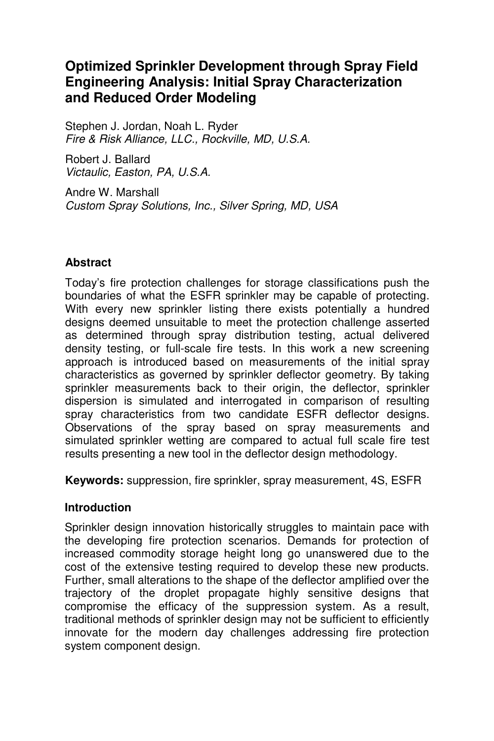# **Optimized Sprinkler Development through Spray Field Engineering Analysis: Initial Spray Characterization and Reduced Order Modeling**

Stephen J. Jordan, Noah L. Ryder *Fire & Risk Alliance, LLC., Rockville, MD, U.S.A.* 

Robert J. Ballard *Victaulic, Easton, PA, U.S.A.* 

Andre W. Marshall *Custom Spray Solutions, Inc., Silver Spring, MD, USA* 

### **Abstract**

Today's fire protection challenges for storage classifications push the boundaries of what the ESFR sprinkler may be capable of protecting. With every new sprinkler listing there exists potentially a hundred designs deemed unsuitable to meet the protection challenge asserted as determined through spray distribution testing, actual delivered density testing, or full-scale fire tests. In this work a new screening approach is introduced based on measurements of the initial spray characteristics as governed by sprinkler deflector geometry. By taking sprinkler measurements back to their origin, the deflector, sprinkler dispersion is simulated and interrogated in comparison of resulting spray characteristics from two candidate ESFR deflector designs. Observations of the spray based on spray measurements and simulated sprinkler wetting are compared to actual full scale fire test results presenting a new tool in the deflector design methodology.

**Keywords:** suppression, fire sprinkler, spray measurement, 4S, ESFR

### **Introduction**

Sprinkler design innovation historically struggles to maintain pace with the developing fire protection scenarios. Demands for protection of increased commodity storage height long go unanswered due to the cost of the extensive testing required to develop these new products. Further, small alterations to the shape of the deflector amplified over the trajectory of the droplet propagate highly sensitive designs that compromise the efficacy of the suppression system. As a result, traditional methods of sprinkler design may not be sufficient to efficiently innovate for the modern day challenges addressing fire protection system component design.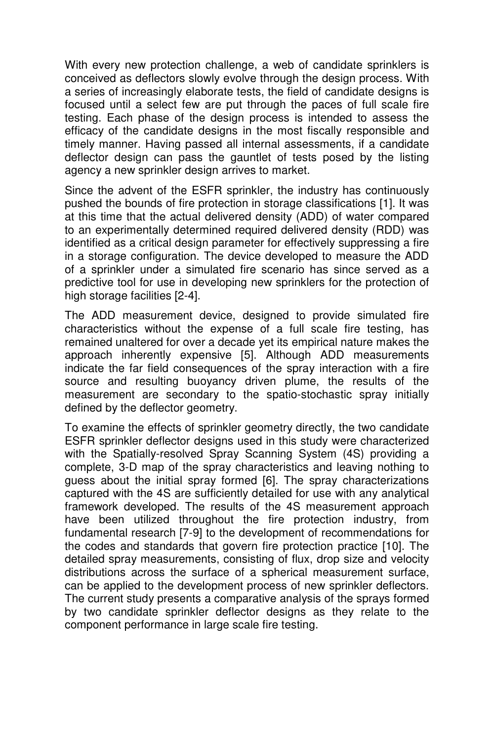With every new protection challenge, a web of candidate sprinklers is conceived as deflectors slowly evolve through the design process. With a series of increasingly elaborate tests, the field of candidate designs is focused until a select few are put through the paces of full scale fire testing. Each phase of the design process is intended to assess the efficacy of the candidate designs in the most fiscally responsible and timely manner. Having passed all internal assessments, if a candidate deflector design can pass the gauntlet of tests posed by the listing agency a new sprinkler design arrives to market.

Since the advent of the ESFR sprinkler, the industry has continuously pushed the bounds of fire protection in storage classifications [1]. It was at this time that the actual delivered density (ADD) of water compared to an experimentally determined required delivered density (RDD) was identified as a critical design parameter for effectively suppressing a fire in a storage configuration. The device developed to measure the ADD of a sprinkler under a simulated fire scenario has since served as a predictive tool for use in developing new sprinklers for the protection of high storage facilities [2-4].

The ADD measurement device, designed to provide simulated fire characteristics without the expense of a full scale fire testing, has remained unaltered for over a decade yet its empirical nature makes the approach inherently expensive [5]. Although ADD measurements indicate the far field consequences of the spray interaction with a fire source and resulting buoyancy driven plume, the results of the measurement are secondary to the spatio-stochastic spray initially defined by the deflector geometry.

To examine the effects of sprinkler geometry directly, the two candidate ESFR sprinkler deflector designs used in this study were characterized with the Spatially-resolved Spray Scanning System (4S) providing a complete, 3-D map of the spray characteristics and leaving nothing to guess about the initial spray formed [6]. The spray characterizations captured with the 4S are sufficiently detailed for use with any analytical framework developed. The results of the 4S measurement approach have been utilized throughout the fire protection industry, from fundamental research [7-9] to the development of recommendations for the codes and standards that govern fire protection practice [10]. The detailed spray measurements, consisting of flux, drop size and velocity distributions across the surface of a spherical measurement surface, can be applied to the development process of new sprinkler deflectors. The current study presents a comparative analysis of the sprays formed by two candidate sprinkler deflector designs as they relate to the component performance in large scale fire testing.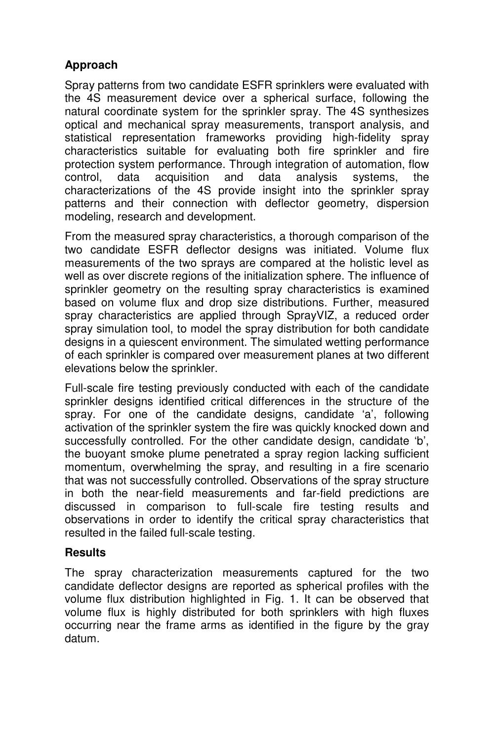## **Approach**

Spray patterns from two candidate ESFR sprinklers were evaluated with the 4S measurement device over a spherical surface, following the natural coordinate system for the sprinkler spray. The 4S synthesizes optical and mechanical spray measurements, transport analysis, and statistical representation frameworks providing high-fidelity spray characteristics suitable for evaluating both fire sprinkler and fire protection system performance. Through integration of automation, flow control, data acquisition and data analysis systems, the characterizations of the 4S provide insight into the sprinkler spray patterns and their connection with deflector geometry, dispersion modeling, research and development.

From the measured spray characteristics, a thorough comparison of the two candidate ESFR deflector designs was initiated. Volume flux measurements of the two sprays are compared at the holistic level as well as over discrete regions of the initialization sphere. The influence of sprinkler geometry on the resulting spray characteristics is examined based on volume flux and drop size distributions. Further, measured spray characteristics are applied through SprayVIZ, a reduced order spray simulation tool, to model the spray distribution for both candidate designs in a quiescent environment. The simulated wetting performance of each sprinkler is compared over measurement planes at two different elevations below the sprinkler.

Full-scale fire testing previously conducted with each of the candidate sprinkler designs identified critical differences in the structure of the spray. For one of the candidate designs, candidate 'a', following activation of the sprinkler system the fire was quickly knocked down and successfully controlled. For the other candidate design, candidate 'b', the buoyant smoke plume penetrated a spray region lacking sufficient momentum, overwhelming the spray, and resulting in a fire scenario that was not successfully controlled. Observations of the spray structure in both the near-field measurements and far-field predictions are discussed in comparison to full-scale fire testing results and observations in order to identify the critical spray characteristics that resulted in the failed full-scale testing.

### **Results**

The spray characterization measurements captured for the two candidate deflector designs are reported as spherical profiles with the volume flux distribution highlighted in Fig. 1. It can be observed that volume flux is highly distributed for both sprinklers with high fluxes occurring near the frame arms as identified in the figure by the gray datum.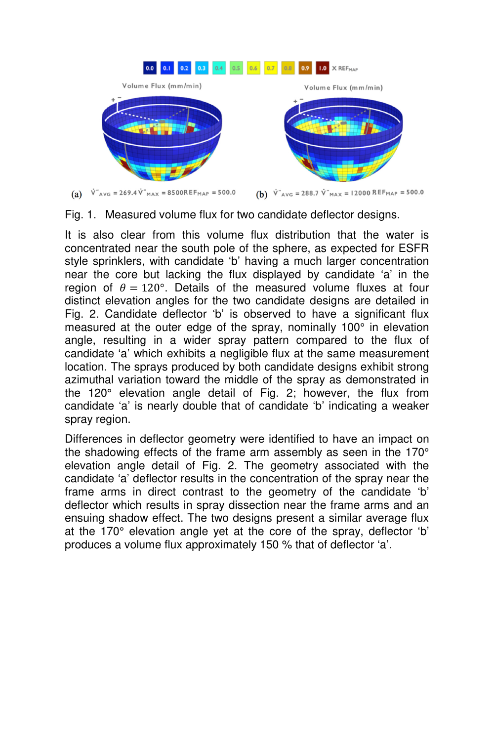

Fig. 1. Measured volume flux for two candidate deflector designs.

It is also clear from this volume flux distribution that the water is concentrated near the south pole of the sphere, as expected for ESFR style sprinklers, with candidate 'b' having a much larger concentration near the core but lacking the flux displayed by candidate 'a' in the region of  $\theta = 120^\circ$ . Details of the measured volume fluxes at four distinct elevation angles for the two candidate designs are detailed in Fig. 2. Candidate deflector 'b' is observed to have a significant flux measured at the outer edge of the spray, nominally 100° in elevation angle, resulting in a wider spray pattern compared to the flux of candidate 'a' which exhibits a negligible flux at the same measurement location. The sprays produced by both candidate designs exhibit strong azimuthal variation toward the middle of the spray as demonstrated in the 120° elevation angle detail of Fig. 2; however, the flux from candidate 'a' is nearly double that of candidate 'b' indicating a weaker spray region.

Differences in deflector geometry were identified to have an impact on the shadowing effects of the frame arm assembly as seen in the 170° elevation angle detail of Fig. 2. The geometry associated with the candidate 'a' deflector results in the concentration of the spray near the frame arms in direct contrast to the geometry of the candidate 'b' deflector which results in spray dissection near the frame arms and an ensuing shadow effect. The two designs present a similar average flux at the 170° elevation angle yet at the core of the spray, deflector 'b' produces a volume flux approximately 150 % that of deflector 'a'.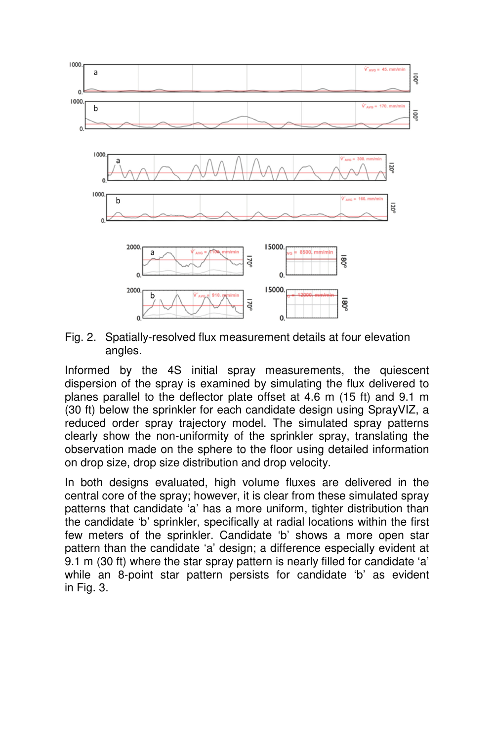

Fig. 2. Spatially-resolved flux measurement details at four elevation angles.

Informed by the 4S initial spray measurements, the quiescent dispersion of the spray is examined by simulating the flux delivered to planes parallel to the deflector plate offset at 4.6 m (15 ft) and 9.1 m (30 ft) below the sprinkler for each candidate design using SprayVIZ, a reduced order spray trajectory model. The simulated spray patterns clearly show the non-uniformity of the sprinkler spray, translating the observation made on the sphere to the floor using detailed information on drop size, drop size distribution and drop velocity.

In both designs evaluated, high volume fluxes are delivered in the central core of the spray; however, it is clear from these simulated spray patterns that candidate 'a' has a more uniform, tighter distribution than the candidate 'b' sprinkler, specifically at radial locations within the first few meters of the sprinkler. Candidate 'b' shows a more open star pattern than the candidate 'a' design; a difference especially evident at 9.1 m (30 ft) where the star spray pattern is nearly filled for candidate 'a' while an 8-point star pattern persists for candidate 'b' as evident in Fig. 3.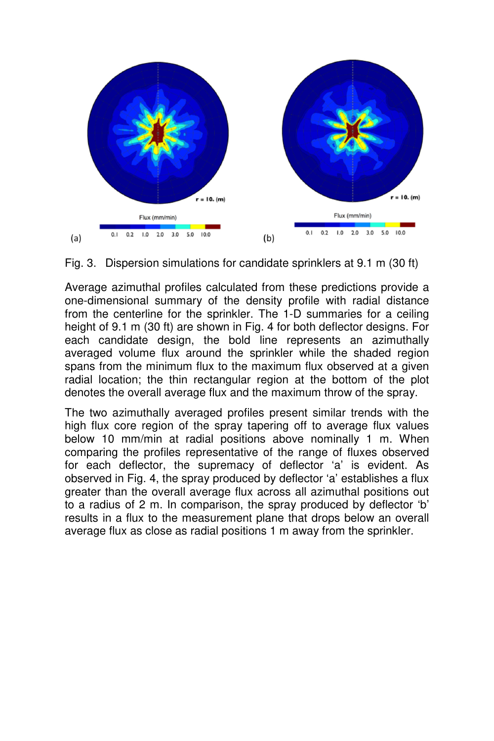



Average azimuthal profiles calculated from these predictions provide a one-dimensional summary of the density profile with radial distance from the centerline for the sprinkler. The 1-D summaries for a ceiling height of 9.1 m (30 ft) are shown in Fig. 4 for both deflector designs. For each candidate design, the bold line represents an azimuthally averaged volume flux around the sprinkler while the shaded region spans from the minimum flux to the maximum flux observed at a given radial location; the thin rectangular region at the bottom of the plot denotes the overall average flux and the maximum throw of the spray.

The two azimuthally averaged profiles present similar trends with the high flux core region of the spray tapering off to average flux values below 10 mm/min at radial positions above nominally 1 m. When comparing the profiles representative of the range of fluxes observed for each deflector, the supremacy of deflector 'a' is evident. As observed in Fig. 4, the spray produced by deflector 'a' establishes a flux greater than the overall average flux across all azimuthal positions out to a radius of 2 m. In comparison, the spray produced by deflector 'b' results in a flux to the measurement plane that drops below an overall average flux as close as radial positions 1 m away from the sprinkler.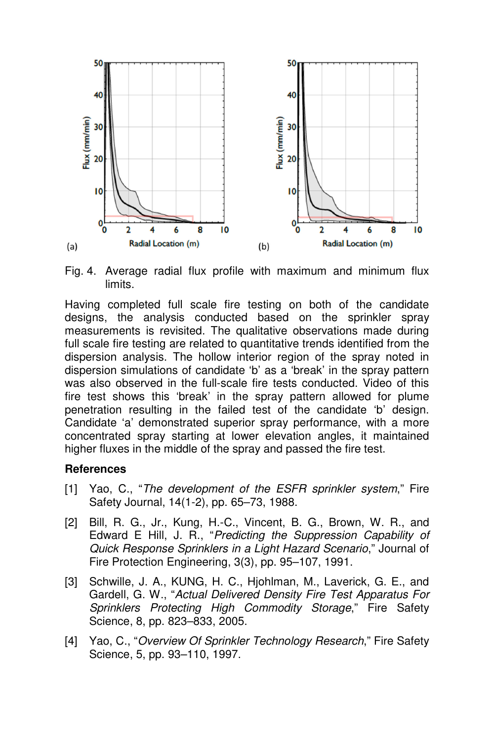

Fig. 4. Average radial flux profile with maximum and minimum flux limits.

Having completed full scale fire testing on both of the candidate designs, the analysis conducted based on the sprinkler spray measurements is revisited. The qualitative observations made during full scale fire testing are related to quantitative trends identified from the dispersion analysis. The hollow interior region of the spray noted in dispersion simulations of candidate 'b' as a 'break' in the spray pattern was also observed in the full-scale fire tests conducted. Video of this fire test shows this 'break' in the spray pattern allowed for plume penetration resulting in the failed test of the candidate 'b' design. Candidate 'a' demonstrated superior spray performance, with a more concentrated spray starting at lower elevation angles, it maintained higher fluxes in the middle of the spray and passed the fire test.

#### **References**

- [1] Yao, C., "*The development of the ESFR sprinkler system*," Fire Safety Journal, 14(1-2), pp. 65–73, 1988.
- [2] Bill, R. G., Jr., Kung, H.-C., Vincent, B. G., Brown, W. R., and Edward E Hill, J. R., "*Predicting the Suppression Capability of Quick Response Sprinklers in a Light Hazard Scenario*," Journal of Fire Protection Engineering, 3(3), pp. 95–107, 1991.
- [3] Schwille, J. A., KUNG, H. C., Hjohlman, M., Laverick, G. E., and Gardell, G. W., "*Actual Delivered Density Fire Test Apparatus For Sprinklers Protecting High Commodity Storage*," Fire Safety Science, 8, pp. 823–833, 2005.
- [4] Yao, C., "*Overview Of Sprinkler Technology Research*," Fire Safety Science, 5, pp. 93–110, 1997.